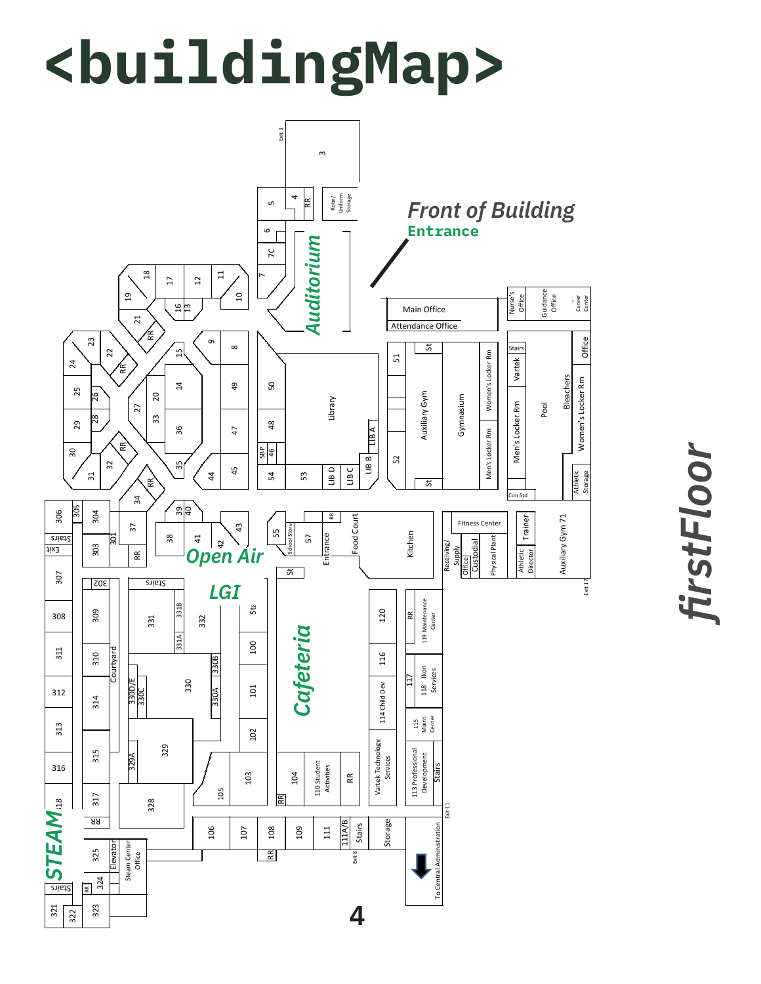## **<buildingMap>**



*firstFloor*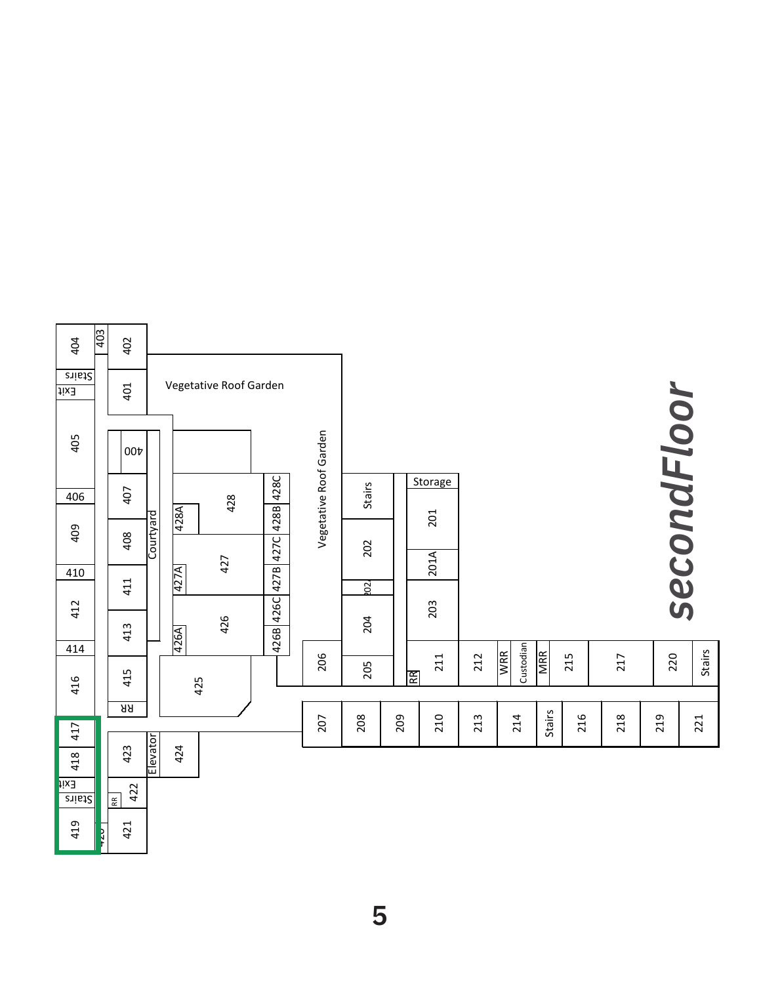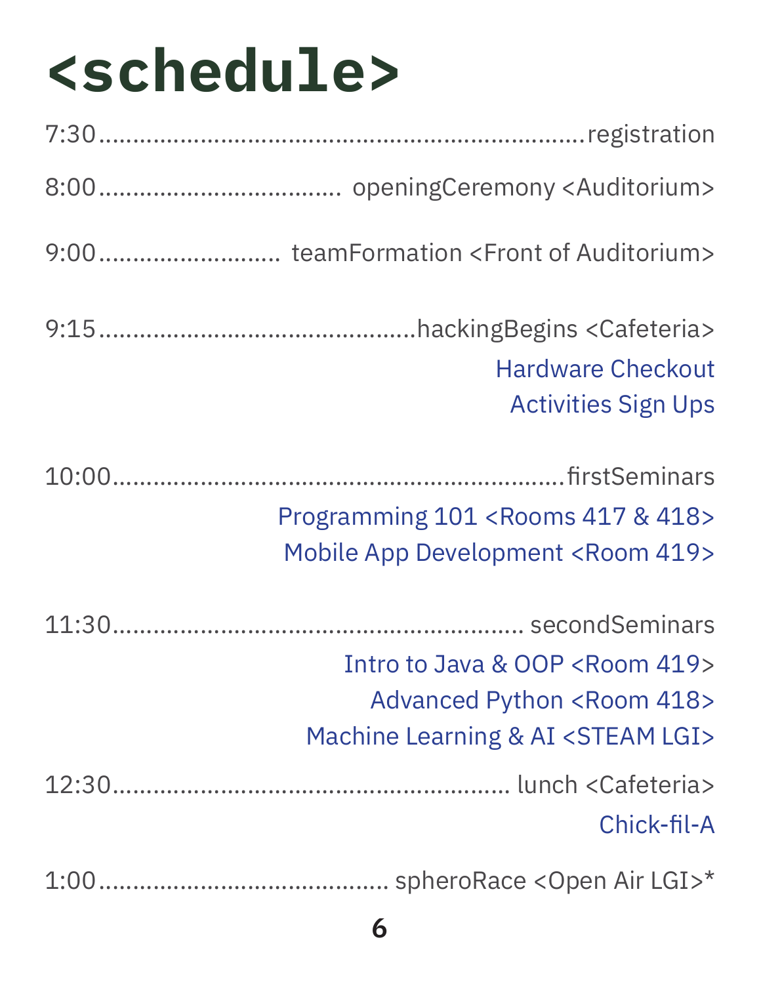## **<schedule>**

| 9:00teamFormation <front auditorium="" of=""></front>                                                                                         |
|-----------------------------------------------------------------------------------------------------------------------------------------------|
| <b>Hardware Checkout</b><br><b>Activities Sign Ups</b>                                                                                        |
| Programming 101 <rooms &="" 417="" 418=""><br/><b>Mobile App Development <room 419=""></room></b></rooms>                                     |
| Intro to Java & OOP <room 419=""><br/><b>Advanced Python <room 418=""></room></b><br/>Machine Learning &amp; AI <steam lgi=""></steam></room> |
| Chick-fil-A                                                                                                                                   |
|                                                                                                                                               |